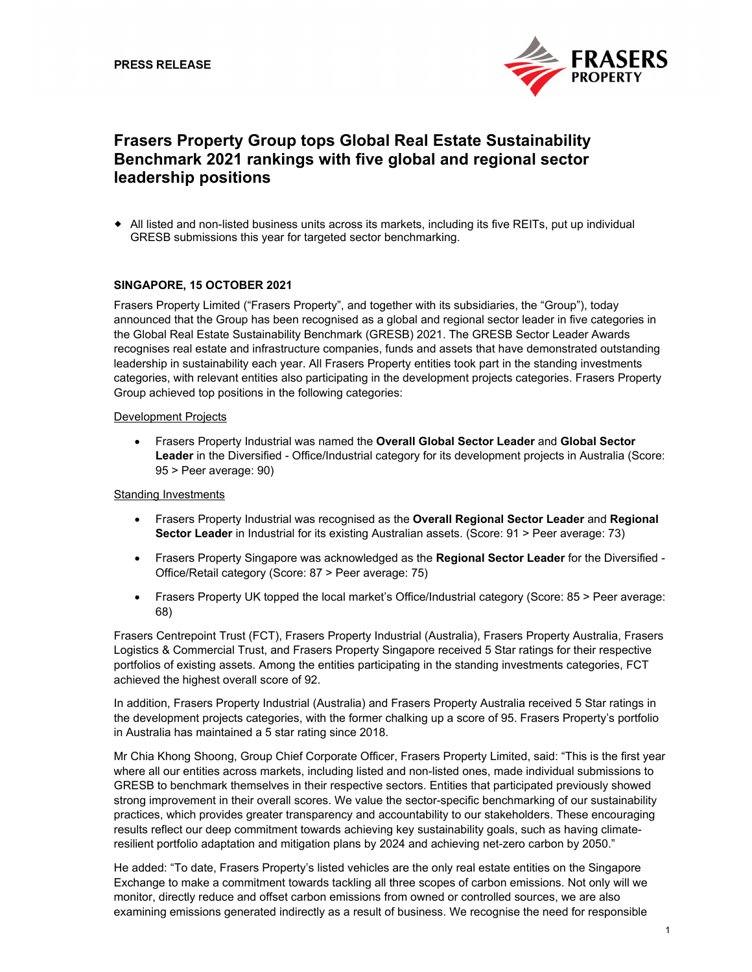

# **Frasers Property Group tops Global Real Estate Sustainability Benchmark 2021 rankings with five global and regional sector leadership positions**

 All listed and non-listed business units across its markets, including its five REITs, put up individual GRESB submissions this year for targeted sector benchmarking.

# **SINGAPORE, 15 OCTOBER 2021**

Frasers Property Limited ("Frasers Property", and together with its subsidiaries, the "Group"), today announced that the Group has been recognised as a global and regional sector leader in five categories in the Global Real Estate Sustainability Benchmark (GRESB) 2021. The GRESB Sector Leader Awards recognises real estate and infrastructure companies, funds and assets that have demonstrated outstanding leadership in sustainability each year. All Frasers Property entities took part in the standing investments categories, with relevant entities also participating in the development projects categories. Frasers Property Group achieved top positions in the following categories:

## Development Projects

 Frasers Property Industrial was named the **Overall Global Sector Leader** and **Global Sector Leader** in the Diversified - Office/Industrial category for its development projects in Australia (Score: 95 > Peer average: 90)

## Standing Investments

- Frasers Property Industrial was recognised as the **Overall Regional Sector Leader** and **Regional Sector Leader** in Industrial for its existing Australian assets. (Score: 91 > Peer average: 73)
- Frasers Property Singapore was acknowledged as the **Regional Sector Leader** for the Diversified Office/Retail category (Score: 87 > Peer average: 75)
- Frasers Property UK topped the local market's Office/Industrial category (Score: 85 > Peer average: 68)

Frasers Centrepoint Trust (FCT), Frasers Property Industrial (Australia), Frasers Property Australia, Frasers Logistics & Commercial Trust, and Frasers Property Singapore received 5 Star ratings for their respective portfolios of existing assets. Among the entities participating in the standing investments categories, FCT achieved the highest overall score of 92.

In addition, Frasers Property Industrial (Australia) and Frasers Property Australia received 5 Star ratings in the development projects categories, with the former chalking up a score of 95. Frasers Property's portfolio in Australia has maintained a 5 star rating since 2018.

Mr Chia Khong Shoong, Group Chief Corporate Officer, Frasers Property Limited, said: "This is the first year where all our entities across markets, including listed and non-listed ones, made individual submissions to GRESB to benchmark themselves in their respective sectors. Entities that participated previously showed strong improvement in their overall scores. We value the sector-specific benchmarking of our sustainability practices, which provides greater transparency and accountability to our stakeholders. These encouraging results reflect our deep commitment towards achieving key sustainability goals, such as having climateresilient portfolio adaptation and mitigation plans by 2024 and achieving net-zero carbon by 2050."

He added: "To date, Frasers Property's listed vehicles are the only real estate entities on the Singapore Exchange to make a commitment towards tackling all three scopes of carbon emissions. Not only will we monitor, directly reduce and offset carbon emissions from owned or controlled sources, we are also examining emissions generated indirectly as a result of business. We recognise the need for responsible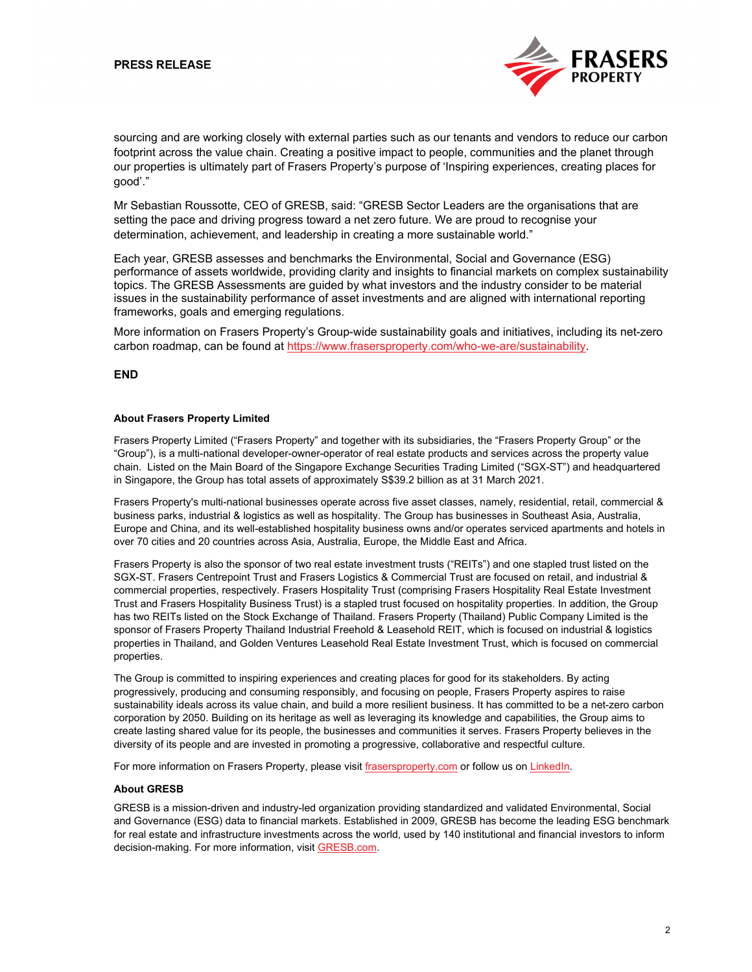

sourcing and are working closely with external parties such as our tenants and vendors to reduce our carbon footprint across the value chain. Creating a positive impact to people, communities and the planet through our properties is ultimately part of Frasers Property's purpose of 'Inspiring experiences, creating places for good'."

Mr Sebastian Roussotte, CEO of GRESB, said: "GRESB Sector Leaders are the organisations that are setting the pace and driving progress toward a net zero future. We are proud to recognise your determination, achievement, and leadership in creating a more sustainable world."

Each year, GRESB assesses and benchmarks the Environmental, Social and Governance (ESG) performance of assets worldwide, providing clarity and insights to financial markets on complex sustainability topics. The GRESB Assessments are guided by what investors and the industry consider to be material issues in the sustainability performance of asset investments and are aligned with international reporting frameworks, goals and emerging regulations.

More information on Frasers Property's Group-wide sustainability goals and initiatives, including its net-zero carbon roadmap, can be found at https://www.frasersproperty.com/who-we-are/sustainability.

#### **END**

#### **About Frasers Property Limited**

Frasers Property Limited ("Frasers Property" and together with its subsidiaries, the "Frasers Property Group" or the "Group"), is a multi-national developer-owner-operator of real estate products and services across the property value chain. Listed on the Main Board of the Singapore Exchange Securities Trading Limited ("SGX-ST") and headquartered in Singapore, the Group has total assets of approximately S\$39.2 billion as at 31 March 2021.

Frasers Property's multi-national businesses operate across five asset classes, namely, residential, retail, commercial & business parks, industrial & logistics as well as hospitality. The Group has businesses in Southeast Asia, Australia, Europe and China, and its well-established hospitality business owns and/or operates serviced apartments and hotels in over 70 cities and 20 countries across Asia, Australia, Europe, the Middle East and Africa.

Frasers Property is also the sponsor of two real estate investment trusts ("REITs") and one stapled trust listed on the SGX-ST. Frasers Centrepoint Trust and Frasers Logistics & Commercial Trust are focused on retail, and industrial & commercial properties, respectively. Frasers Hospitality Trust (comprising Frasers Hospitality Real Estate Investment Trust and Frasers Hospitality Business Trust) is a stapled trust focused on hospitality properties. In addition, the Group has two REITs listed on the Stock Exchange of Thailand. Frasers Property (Thailand) Public Company Limited is the sponsor of Frasers Property Thailand Industrial Freehold & Leasehold REIT, which is focused on industrial & logistics properties in Thailand, and Golden Ventures Leasehold Real Estate Investment Trust, which is focused on commercial properties.

The Group is committed to inspiring experiences and creating places for good for its stakeholders. By acting progressively, producing and consuming responsibly, and focusing on people, Frasers Property aspires to raise sustainability ideals across its value chain, and build a more resilient business. It has committed to be a net-zero carbon corporation by 2050. Building on its heritage as well as leveraging its knowledge and capabilities, the Group aims to create lasting shared value for its people, the businesses and communities it serves. Frasers Property believes in the diversity of its people and are invested in promoting a progressive, collaborative and respectful culture.

For more information on Frasers Property, please visit frasersproperty.com or follow us on LinkedIn.

## **About GRESB**

GRESB is a mission-driven and industry-led organization providing standardized and validated Environmental, Social and Governance (ESG) data to financial markets. Established in 2009, GRESB has become the leading ESG benchmark for real estate and infrastructure investments across the world, used by 140 institutional and financial investors to inform decision-making. For more information, visit GRESB.com.